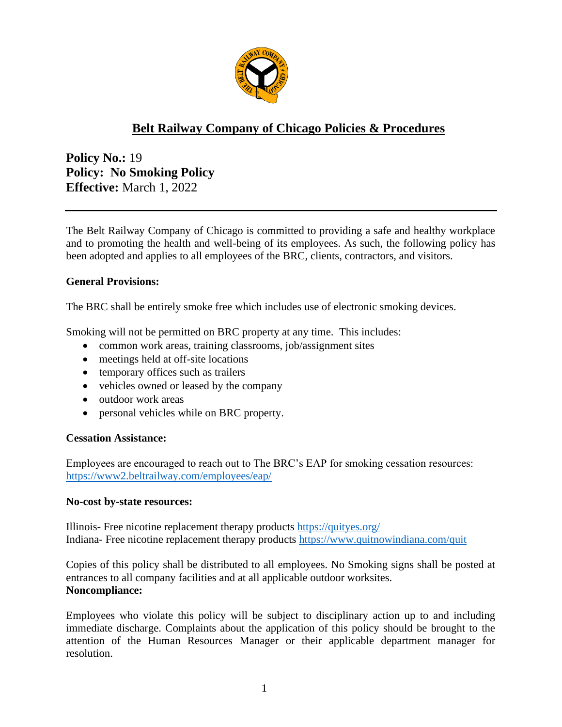

# **Belt Railway Company of Chicago Policies & Procedures**

**Policy No.:** 19 **Policy: No Smoking Policy Effective:** March 1, 2022

The Belt Railway Company of Chicago is committed to providing a safe and healthy workplace and to promoting the health and well-being of its employees. As such, the following policy has been adopted and applies to all employees of the BRC, clients, contractors, and visitors.

## **General Provisions:**

The BRC shall be entirely smoke free which includes use of electronic smoking devices.

Smoking will not be permitted on BRC property at any time. This includes:

- common work areas, training classrooms, job/assignment sites
- meetings held at off-site locations
- temporary offices such as trailers
- vehicles owned or leased by the company
- outdoor work areas
- personal vehicles while on BRC property.

## **Cessation Assistance:**

Employees are encouraged to reach out to The BRC's EAP for smoking cessation resources: <https://www2.beltrailway.com/employees/eap/>

## **No-cost by-state resources:**

Illinois- Free nicotine replacement therapy products <https://quityes.org/> Indiana- Free nicotine replacement therapy products <https://www.quitnowindiana.com/quit>

Copies of this policy shall be distributed to all employees. No Smoking signs shall be posted at entrances to all company facilities and at all applicable outdoor worksites. **Noncompliance:**

Employees who violate this policy will be subject to disciplinary action up to and including immediate discharge. Complaints about the application of this policy should be brought to the attention of the Human Resources Manager or their applicable department manager for resolution.